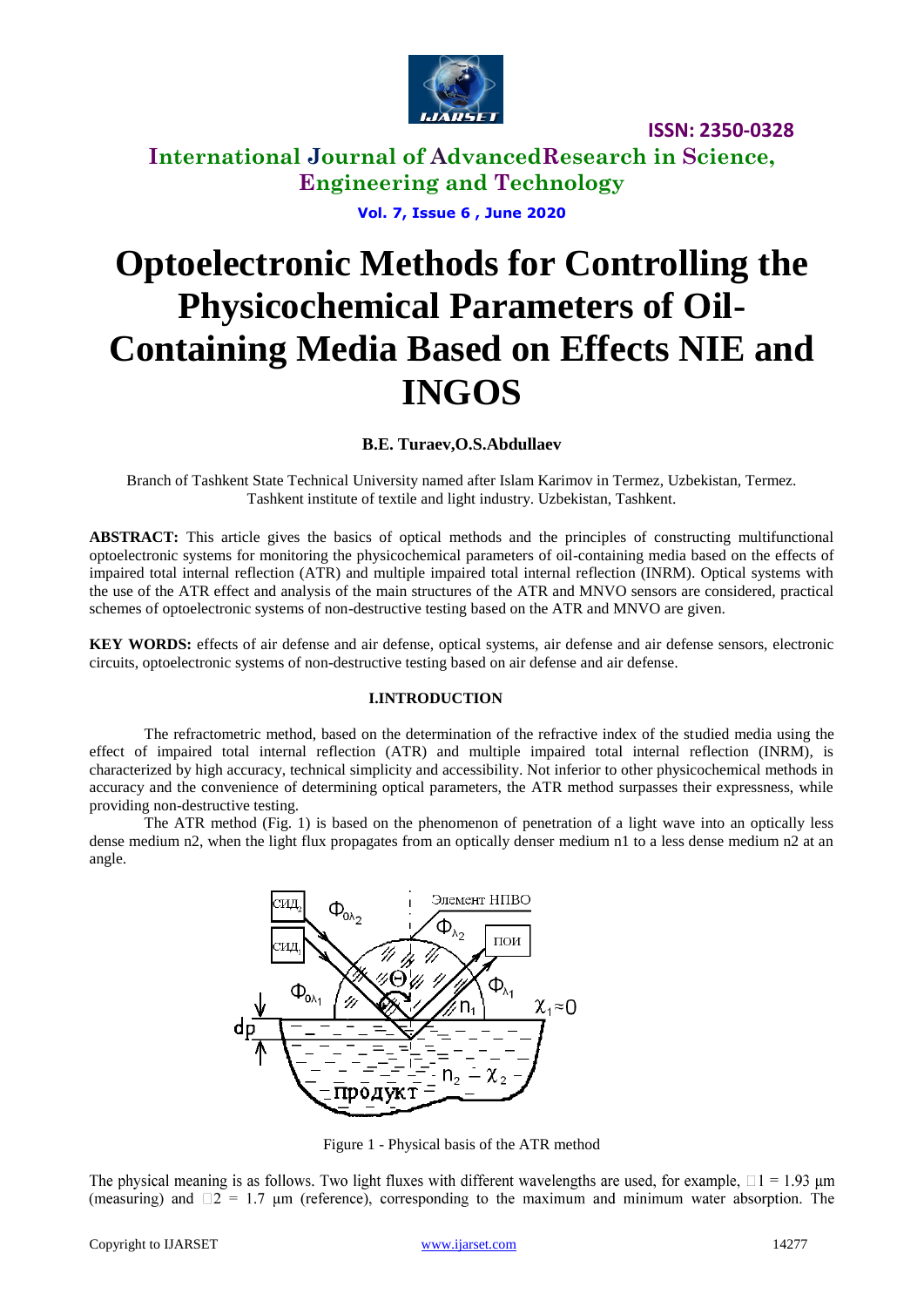

**ISSN: 2350-0328**

**International Journal of AdvancedResearch in Science, Engineering and Technology**

**Vol. 7, Issue 6 , June 2020**

# **Optoelectronic Methods for Controlling the Physicochemical Parameters of Oil-Containing Media Based on Effects NIE and INGOS**

#### **B.E. Turaev,O.S.Abdullaev**

Branch of Tashkent State Technical University named after Islam Karimov in Termez, Uzbekistan, Termez. Tashkent institute of textile and light industry. Uzbekistan, Tashkent.

**ABSTRACT:** This article gives the basics of optical methods and the principles of constructing multifunctional optoelectronic systems for monitoring the physicochemical parameters of oil-containing media based on the effects of impaired total internal reflection (ATR) and multiple impaired total internal reflection (INRM). Optical systems with the use of the ATR effect and analysis of the main structures of the ATR and MNVO sensors are considered, practical schemes of optoelectronic systems of non-destructive testing based on the ATR and MNVO are given.

**KEY WORDS:** effects of air defense and air defense, optical systems, air defense and air defense sensors, electronic circuits, optoelectronic systems of non-destructive testing based on air defense and air defense*.*

#### **I.INTRODUCTION**

The refractometric method, based on the determination of the refractive index of the studied media using the effect of impaired total internal reflection (ATR) and multiple impaired total internal reflection (INRM), is characterized by high accuracy, technical simplicity and accessibility. Not inferior to other physicochemical methods in accuracy and the convenience of determining optical parameters, the ATR method surpasses their expressness, while providing non-destructive testing.

The ATR method (Fig. 1) is based on the phenomenon of penetration of a light wave into an optically less dense medium n2, when the light flux propagates from an optically denser medium n1 to a less dense medium n2 at an angle.



Figure 1 - Physical basis of the ATR method

The physical meaning is as follows. Two light fluxes with different wavelengths are used, for example,  $\Box$  1 = 1.93 µm (measuring) and  $\square$  2 = 1.7 µm (reference), corresponding to the maximum and minimum water absorption. The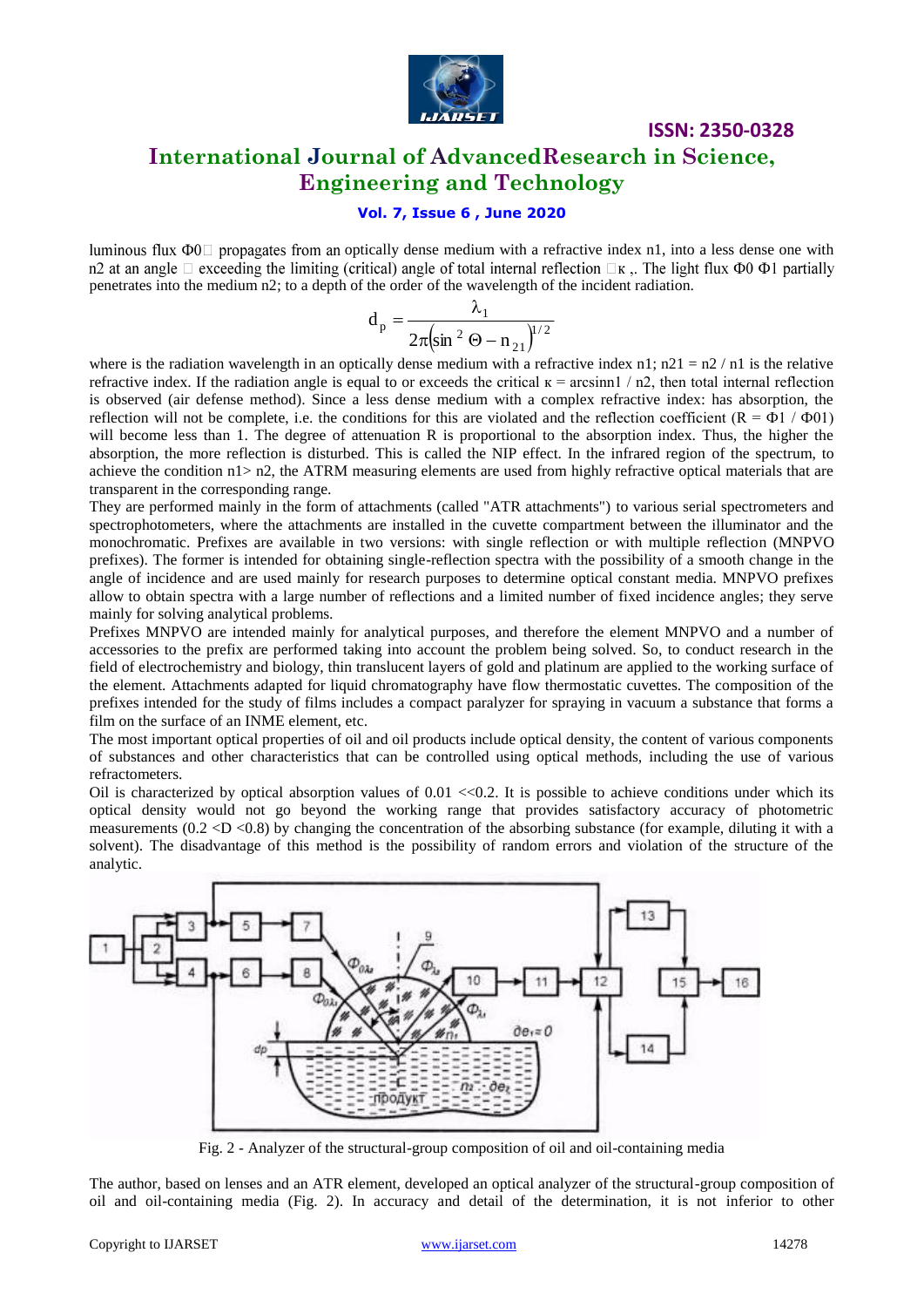

## **ISSN: 2350-0328 International Journal of AdvancedResearch in Science, Engineering and Technology**

### **Vol. 7, Issue 6 , June 2020**

luminous flux  $\Phi_0$  propagates from an optically dense medium with a refractive index n1, into a less dense one with n2 at an angle  $\Box$  exceeding the limiting (critical) angle of total internal reflection  $\Box$ <sub>K</sub>. The light flux  $\Phi$ 0  $\Phi$ 1 partially penetrates into the medium n2; to a depth of the order of the wavelength of the incident radiation.

$$
d_p = \frac{\lambda_1}{2\pi \left(\sin^2 \Theta - n_{21}\right)^{1/2}}
$$

where is the radiation wavelength in an optically dense medium with a refractive index  $n1$ ;  $n21 = n2/n1$  is the relative refractive index. If the radiation angle is equal to or exceeds the critical  $\kappa$  = arcsinn1 / n2, then total internal reflection is observed (air defense method). Since a less dense medium with a complex refractive index: has absorption, the reflection will not be complete, i.e. the conditions for this are violated and the reflection coefficient  $(R = \Phi 1 / \Phi 01)$ will become less than 1. The degree of attenuation R is proportional to the absorption index. Thus, the higher the absorption, the more reflection is disturbed. This is called the NIP effect. In the infrared region of the spectrum, to achieve the condition n1> n2, the ATRM measuring elements are used from highly refractive optical materials that are transparent in the corresponding range.

They are performed mainly in the form of attachments (called "ATR attachments") to various serial spectrometers and spectrophotometers, where the attachments are installed in the cuvette compartment between the illuminator and the monochromatic. Prefixes are available in two versions: with single reflection or with multiple reflection (MNPVO prefixes). The former is intended for obtaining single-reflection spectra with the possibility of a smooth change in the angle of incidence and are used mainly for research purposes to determine optical constant media. MNPVO prefixes allow to obtain spectra with a large number of reflections and a limited number of fixed incidence angles; they serve mainly for solving analytical problems.

Prefixes MNPVO are intended mainly for analytical purposes, and therefore the element MNPVO and a number of accessories to the prefix are performed taking into account the problem being solved. So, to conduct research in the field of electrochemistry and biology, thin translucent layers of gold and platinum are applied to the working surface of the element. Attachments adapted for liquid chromatography have flow thermostatic cuvettes. The composition of the prefixes intended for the study of films includes a compact paralyzer for spraying in vacuum a substance that forms a film on the surface of an INME element, etc.

The most important optical properties of oil and oil products include optical density, the content of various components of substances and other characteristics that can be controlled using optical methods, including the use of various refractometers.

Oil is characterized by optical absorption values of  $0.01 \ll 0.2$ . It is possible to achieve conditions under which its optical density would not go beyond the working range that provides satisfactory accuracy of photometric measurements  $(0.2 < D < 0.8)$  by changing the concentration of the absorbing substance (for example, diluting it with a solvent). The disadvantage of this method is the possibility of random errors and violation of the structure of the analytic.



Fig. 2 - Analyzer of the structural-group composition of oil and oil-containing media

The author, based on lenses and an ATR element, developed an optical analyzer of the structural-group composition of oil and oil-containing media (Fig. 2). In accuracy and detail of the determination, it is not inferior to other